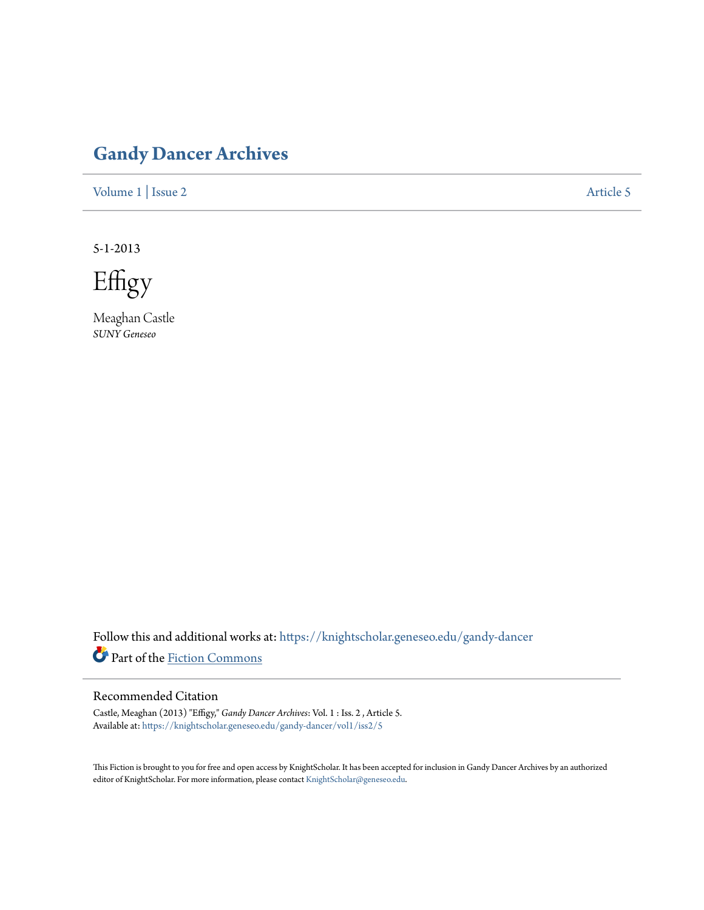# **[Gandy Dancer Archives](https://knightscholar.geneseo.edu/gandy-dancer?utm_source=knightscholar.geneseo.edu%2Fgandy-dancer%2Fvol1%2Fiss2%2F5&utm_medium=PDF&utm_campaign=PDFCoverPages)**

[Volume 1](https://knightscholar.geneseo.edu/gandy-dancer/vol1?utm_source=knightscholar.geneseo.edu%2Fgandy-dancer%2Fvol1%2Fiss2%2F5&utm_medium=PDF&utm_campaign=PDFCoverPages) | [Issue 2](https://knightscholar.geneseo.edu/gandy-dancer/vol1/iss2?utm_source=knightscholar.geneseo.edu%2Fgandy-dancer%2Fvol1%2Fiss2%2F5&utm_medium=PDF&utm_campaign=PDFCoverPages) [Article 5](https://knightscholar.geneseo.edu/gandy-dancer/vol1/iss2/5?utm_source=knightscholar.geneseo.edu%2Fgandy-dancer%2Fvol1%2Fiss2%2F5&utm_medium=PDF&utm_campaign=PDFCoverPages)

5-1-2013

Effigy

Meaghan Castle *SUNY Geneseo*

Follow this and additional works at: [https://knightscholar.geneseo.edu/gandy-dancer](https://knightscholar.geneseo.edu/gandy-dancer?utm_source=knightscholar.geneseo.edu%2Fgandy-dancer%2Fvol1%2Fiss2%2F5&utm_medium=PDF&utm_campaign=PDFCoverPages) Part of the [Fiction Commons](http://network.bepress.com/hgg/discipline/1151?utm_source=knightscholar.geneseo.edu%2Fgandy-dancer%2Fvol1%2Fiss2%2F5&utm_medium=PDF&utm_campaign=PDFCoverPages)

## Recommended Citation

Castle, Meaghan (2013) "Effigy," *Gandy Dancer Archives*: Vol. 1 : Iss. 2 , Article 5.  $\pmb{A}\pmb{v}$ ailable at: https://knightscholar.geneseo.edu/gandy-dancer/vol $1/$ iss $2/5$ 

This Fiction is brought to you for free and open access by KnightScholar. It has been accepted for inclusion in Gandy Dancer Archives by an authorized editor of KnightScholar. For more information, please contact [KnightScholar@geneseo.edu.](mailto:KnightScholar@geneseo.edu)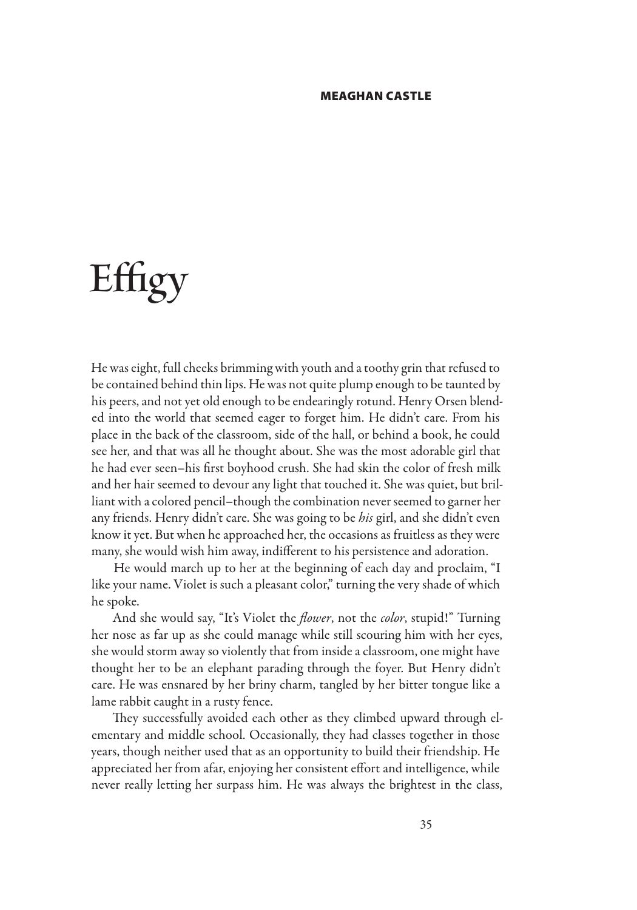#### MEAGHAN CASTLE

# **Effigy**

He was eight, full cheeks brimming with youth and a toothy grin that refused to be contained behind thin lips. He was not quite plump enough to be taunted by his peers, and not yet old enough to be endearingly rotund. Henry Orsen blended into the world that seemed eager to forget him. He didn't care. From his place in the back of the classroom, side of the hall, or behind a book, he could see her, and that was all he thought about. She was the most adorable girl that he had ever seen–his first boyhood crush. She had skin the color of fresh milk and her hair seemed to devour any light that touched it. She was quiet, but brilliant with a colored pencil–though the combination never seemed to garner her any friends. Henry didn't care. She was going to be *his* girl, and she didn't even know it yet. But when he approached her, the occasions as fruitless as they were many, she would wish him away, indifferent to his persistence and adoration.

He would march up to her at the beginning of each day and proclaim, "I like your name. Violet is such a pleasant color," turning the very shade of which he spoke.

And she would say, "It's Violet the *flower*, not the *color*, stupid!" Turning her nose as far up as she could manage while still scouring him with her eyes, she would storm away so violently that from inside a classroom, one might have thought her to be an elephant parading through the foyer. But Henry didn't care. He was ensnared by her briny charm, tangled by her bitter tongue like a lame rabbit caught in a rusty fence.

They successfully avoided each other as they climbed upward through elementary and middle school. Occasionally, they had classes together in those years, though neither used that as an opportunity to build their friendship. He appreciated her from afar, enjoying her consistent effort and intelligence, while never really letting her surpass him. He was always the brightest in the class,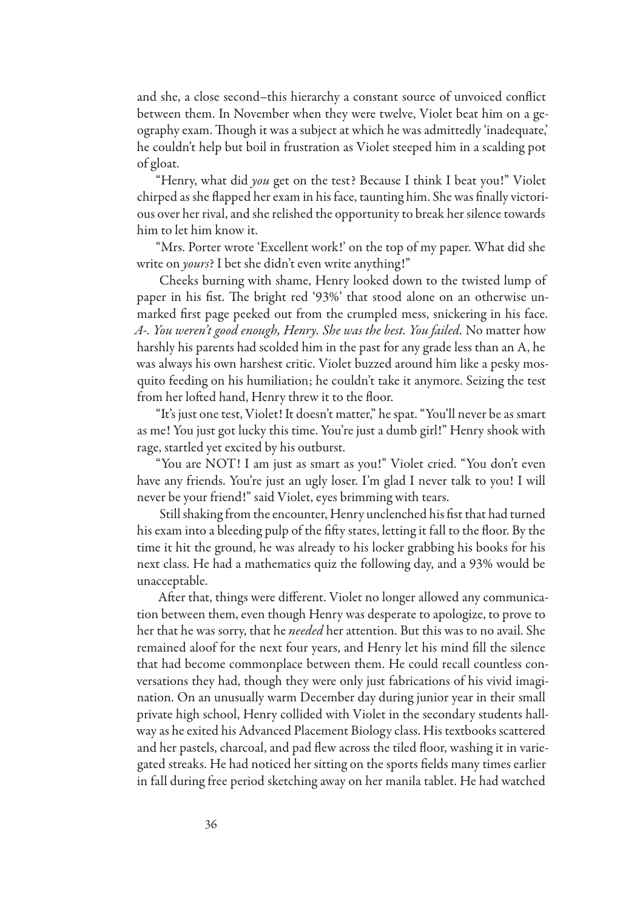and she, a close second–this hierarchy a constant source of unvoiced conflict between them. In November when they were twelve, Violet beat him on a geography exam. Though it was a subject at which he was admittedly 'inadequate,' he couldn't help but boil in frustration as Violet steeped him in a scalding pot of gloat.

"Henry, what did *you* get on the test? Because I think I beat you!" Violet chirped as she flapped her exam in his face, taunting him. She was finally victorious over her rival, and she relished the opportunity to break her silence towards him to let him know it.

"Mrs. Porter wrote 'Excellent work!' on the top of my paper. What did she write on *yours*? I bet she didn't even write anything!"

Cheeks burning with shame, Henry looked down to the twisted lump of paper in his fist. The bright red '93%' that stood alone on an otherwise unmarked first page peeked out from the crumpled mess, snickering in his face. *A-. You weren't good enough, Henry. She was the best. You failed.* No matter how harshly his parents had scolded him in the past for any grade less than an A, he was always his own harshest critic. Violet buzzed around him like a pesky mosquito feeding on his humiliation; he couldn't take it anymore. Seizing the test from her lofted hand, Henry threw it to the floor.

"It's just one test, Violet! It doesn't matter," he spat. "You'll never be as smart as me! You just got lucky this time. You're just a dumb girl!" Henry shook with rage, startled yet excited by his outburst.

"You are NOT! I am just as smart as you!" Violet cried. "You don't even have any friends. You're just an ugly loser. I'm glad I never talk to you! I will never be your friend!" said Violet, eyes brimming with tears.

Still shaking from the encounter, Henry unclenched his fist that had turned his exam into a bleeding pulp of the fifty states, letting it fall to the floor. By the time it hit the ground, he was already to his locker grabbing his books for his next class. He had a mathematics quiz the following day, and a 93% would be unacceptable.

After that, things were different. Violet no longer allowed any communication between them, even though Henry was desperate to apologize, to prove to her that he was sorry, that he *needed* her attention. But this was to no avail. She remained aloof for the next four years, and Henry let his mind fill the silence that had become commonplace between them. He could recall countless conversations they had, though they were only just fabrications of his vivid imagination. On an unusually warm December day during junior year in their small private high school, Henry collided with Violet in the secondary students hallway as he exited his Advanced Placement Biology class. His textbooks scattered and her pastels, charcoal, and pad flew across the tiled floor, washing it in variegated streaks. He had noticed her sitting on the sports fields many times earlier in fall during free period sketching away on her manila tablet. He had watched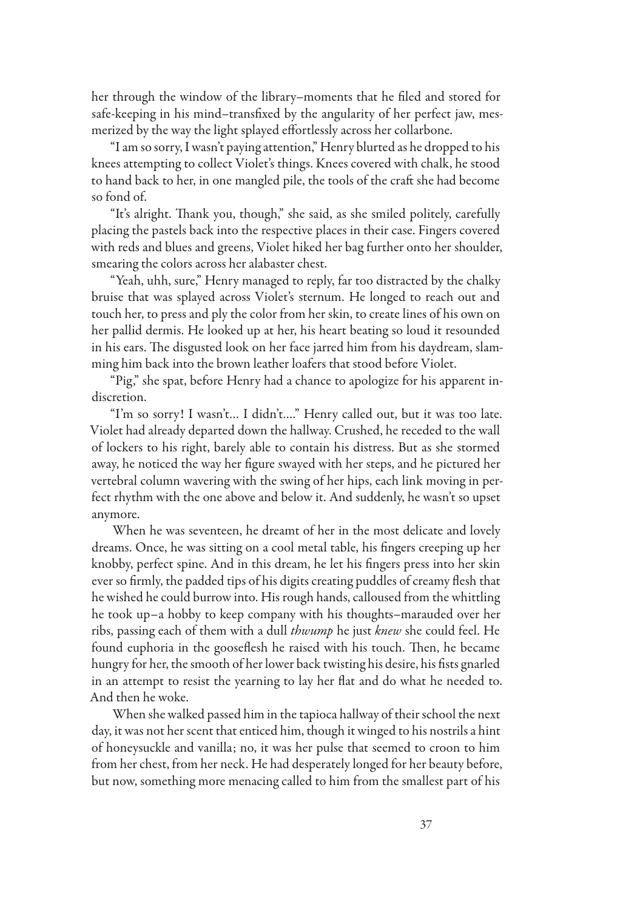her through the window of the library–moments that he filed and stored for safe-keeping in his mind–transfixed by the angularity of her perfect jaw, mesmerized by the way the light splayed effortlessly across her collarbone.

"I am so sorry, I wasn't paying attention," Henry blurted as he dropped to his knees attempting to collect Violet's things. Knees covered with chalk, he stood to hand back to her, in one mangled pile, the tools of the craft she had become so fond of.

"It's alright. Thank you, though," she said, as she smiled politely, carefully placing the pastels back into the respective places in their case. Fingers covered with reds and blues and greens, Violet hiked her bag further onto her shoulder, smearing the colors across her alabaster chest.

"Yeah, uhh, sure," Henry managed to reply, far too distracted by the chalky bruise that was splayed across Violet's sternum. He longed to reach out and touch her, to press and ply the color from her skin, to create lines of his own on her pallid dermis. He looked up at her, his heart beating so loud it resounded in his ears. The disgusted look on her face jarred him from his daydream, slamming him back into the brown leather loafers that stood before Violet.

"Pig," she spat, before Henry had a chance to apologize for his apparent indiscretion.

"I'm so sorry! I wasn't… I didn't…." Henry called out, but it was too late. Violet had already departed down the hallway. Crushed, he receded to the wall of lockers to his right, barely able to contain his distress. But as she stormed away, he noticed the way her figure swayed with her steps, and he pictured her vertebral column wavering with the swing of her hips, each link moving in perfect rhythm with the one above and below it. And suddenly, he wasn't so upset anymore.

When he was seventeen, he dreamt of her in the most delicate and lovely dreams. Once, he was sitting on a cool metal table, his fingers creeping up her knobby, perfect spine. And in this dream, he let his fingers press into her skin ever so firmly, the padded tips of his digits creating puddles of creamy flesh that he wished he could burrow into. His rough hands, calloused from the whittling he took up–a hobby to keep company with his thoughts–marauded over her ribs, passing each of them with a dull *thwump* he just *knew* she could feel. He found euphoria in the gooseflesh he raised with his touch. Then, he became hungry for her, the smooth of her lower back twisting his desire, his fists gnarled in an attempt to resist the yearning to lay her flat and do what he needed to. And then he woke.

When she walked passed him in the tapioca hallway of their school the next day, it was not her scent that enticed him, though it winged to his nostrils a hint of honeysuckle and vanilla; no, it was her pulse that seemed to croon to him from her chest, from her neck. He had desperately longed for her beauty before, but now, something more menacing called to him from the smallest part of his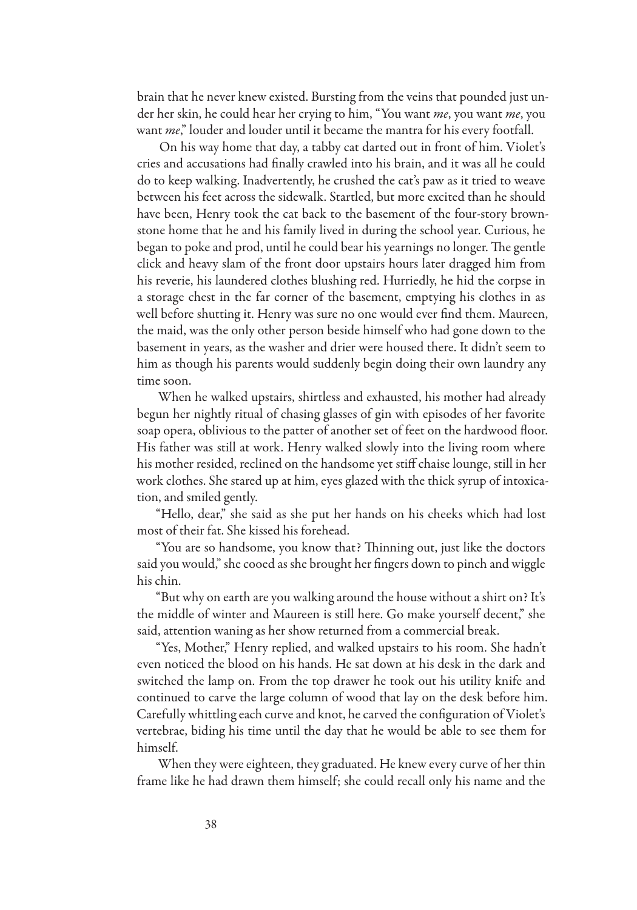brain that he never knew existed. Bursting from the veins that pounded just under her skin, he could hear her crying to him, "You want *me*, you want *me*, you want *me*," louder and louder until it became the mantra for his every footfall.

On his way home that day, a tabby cat darted out in front of him. Violet's cries and accusations had finally crawled into his brain, and it was all he could do to keep walking. Inadvertently, he crushed the cat's paw as it tried to weave between his feet across the sidewalk. Startled, but more excited than he should have been, Henry took the cat back to the basement of the four-story brownstone home that he and his family lived in during the school year. Curious, he began to poke and prod, until he could bear his yearnings no longer. The gentle click and heavy slam of the front door upstairs hours later dragged him from his reverie, his laundered clothes blushing red. Hurriedly, he hid the corpse in a storage chest in the far corner of the basement, emptying his clothes in as well before shutting it. Henry was sure no one would ever find them. Maureen, the maid, was the only other person beside himself who had gone down to the basement in years, as the washer and drier were housed there. It didn't seem to him as though his parents would suddenly begin doing their own laundry any time soon.

When he walked upstairs, shirtless and exhausted, his mother had already begun her nightly ritual of chasing glasses of gin with episodes of her favorite soap opera, oblivious to the patter of another set of feet on the hardwood floor. His father was still at work. Henry walked slowly into the living room where his mother resided, reclined on the handsome yet stiff chaise lounge, still in her work clothes. She stared up at him, eyes glazed with the thick syrup of intoxication, and smiled gently.

"Hello, dear," she said as she put her hands on his cheeks which had lost most of their fat. She kissed his forehead.

"You are so handsome, you know that? Thinning out, just like the doctors said you would," she cooed as she brought her fingers down to pinch and wiggle his chin.

"But why on earth are you walking around the house without a shirt on? It's the middle of winter and Maureen is still here. Go make yourself decent," she said, attention waning as her show returned from a commercial break.

"Yes, Mother," Henry replied, and walked upstairs to his room. She hadn't even noticed the blood on his hands. He sat down at his desk in the dark and switched the lamp on. From the top drawer he took out his utility knife and continued to carve the large column of wood that lay on the desk before him. Carefully whittling each curve and knot, he carved the configuration of Violet's vertebrae, biding his time until the day that he would be able to see them for himself.

When they were eighteen, they graduated. He knew every curve of her thin frame like he had drawn them himself; she could recall only his name and the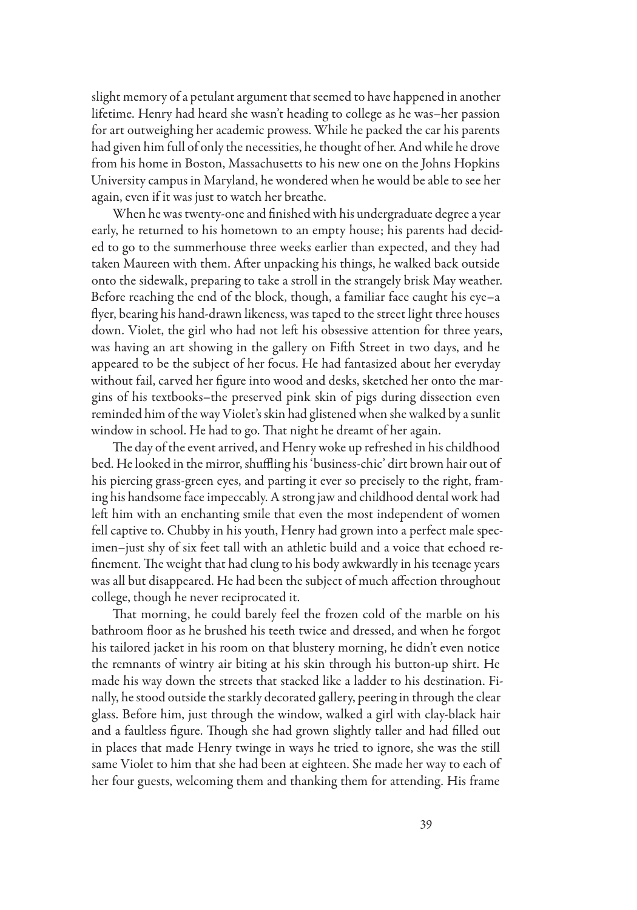slight memory of a petulant argument that seemed to have happened in another lifetime. Henry had heard she wasn't heading to college as he was–her passion for art outweighing her academic prowess. While he packed the car his parents had given him full of only the necessities, he thought of her. And while he drove from his home in Boston, Massachusetts to his new one on the Johns Hopkins University campus in Maryland, he wondered when he would be able to see her again, even if it was just to watch her breathe.

When he was twenty-one and finished with his undergraduate degree a year early, he returned to his hometown to an empty house; his parents had decided to go to the summerhouse three weeks earlier than expected, and they had taken Maureen with them. After unpacking his things, he walked back outside onto the sidewalk, preparing to take a stroll in the strangely brisk May weather. Before reaching the end of the block, though, a familiar face caught his eye–a flyer, bearing his hand-drawn likeness, was taped to the street light three houses down. Violet, the girl who had not left his obsessive attention for three years, was having an art showing in the gallery on Fifth Street in two days, and he appeared to be the subject of her focus. He had fantasized about her everyday without fail, carved her figure into wood and desks, sketched her onto the margins of his textbooks–the preserved pink skin of pigs during dissection even reminded him of the way Violet's skin had glistened when she walked by a sunlit window in school. He had to go. That night he dreamt of her again.

The day of the event arrived, and Henry woke up refreshed in his childhood bed. He looked in the mirror, shuffling his 'business-chic' dirt brown hair out of his piercing grass-green eyes, and parting it ever so precisely to the right, framing his handsome face impeccably. A strong jaw and childhood dental work had left him with an enchanting smile that even the most independent of women fell captive to. Chubby in his youth, Henry had grown into a perfect male specimen–just shy of six feet tall with an athletic build and a voice that echoed refinement. The weight that had clung to his body awkwardly in his teenage years was all but disappeared. He had been the subject of much affection throughout college, though he never reciprocated it.

That morning, he could barely feel the frozen cold of the marble on his bathroom floor as he brushed his teeth twice and dressed, and when he forgot his tailored jacket in his room on that blustery morning, he didn't even notice the remnants of wintry air biting at his skin through his button-up shirt. He made his way down the streets that stacked like a ladder to his destination. Finally, he stood outside the starkly decorated gallery, peering in through the clear glass. Before him, just through the window, walked a girl with clay-black hair and a faultless figure. Though she had grown slightly taller and had filled out in places that made Henry twinge in ways he tried to ignore, she was the still same Violet to him that she had been at eighteen. She made her way to each of her four guests, welcoming them and thanking them for attending. His frame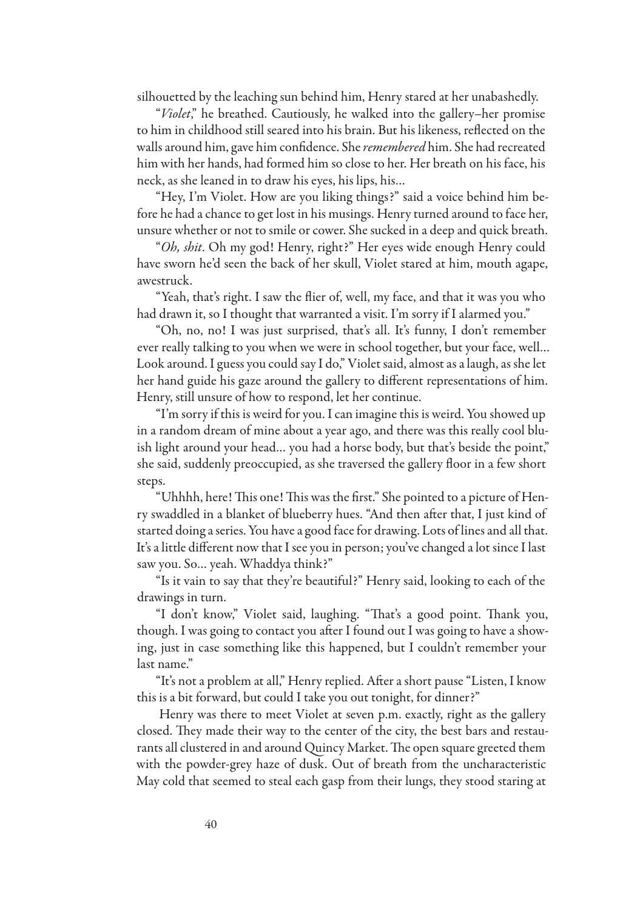silhouetted by the leaching sun behind him, Henry stared at her unabashedly.

"*Violet*," he breathed. Cautiously, he walked into the gallery–her promise to him in childhood still seared into his brain. But his likeness, reflected on the walls around him, gave him confidence. She *remembered* him. She had recreated him with her hands, had formed him so close to her. Her breath on his face, his neck, as she leaned in to draw his eyes, his lips, his…

"Hey, I'm Violet. How are you liking things?" said a voice behind him before he had a chance to get lost in his musings. Henry turned around to face her, unsure whether or not to smile or cower. She sucked in a deep and quick breath.

"*Oh, shit*. Oh my god! Henry, right?" Her eyes wide enough Henry could have sworn he'd seen the back of her skull, Violet stared at him, mouth agape, awestruck.

"Yeah, that's right. I saw the flier of, well, my face, and that it was you who had drawn it, so I thought that warranted a visit. I'm sorry if I alarmed you."

"Oh, no, no! I was just surprised, that's all. It's funny, I don't remember ever really talking to you when we were in school together, but your face, well… Look around. I guess you could say I do," Violet said, almost as a laugh, as she let her hand guide his gaze around the gallery to different representations of him. Henry, still unsure of how to respond, let her continue.

"I'm sorry if this is weird for you. I can imagine this is weird. You showed up in a random dream of mine about a year ago, and there was this really cool bluish light around your head... you had a horse body, but that's beside the point," she said, suddenly preoccupied, as she traversed the gallery floor in a few short steps.

"Uhhhh, here! This one! This was the first." She pointed to a picture of Henry swaddled in a blanket of blueberry hues. "And then after that, I just kind of started doing a series. You have a good face for drawing. Lots of lines and all that. It's a little different now that I see you in person; you've changed a lot since I last saw you. So… yeah. Whaddya think?"

"Is it vain to say that they're beautiful?" Henry said, looking to each of the drawings in turn.

"I don't know," Violet said, laughing. "That's a good point. Thank you, though. I was going to contact you after I found out I was going to have a showing, just in case something like this happened, but I couldn't remember your last name."

"It's not a problem at all," Henry replied. After a short pause "Listen, I know this is a bit forward, but could I take you out tonight, for dinner?"

Henry was there to meet Violet at seven p.m. exactly, right as the gallery closed. They made their way to the center of the city, the best bars and restaurants all clustered in and around Quincy Market. The open square greeted them with the powder-grey haze of dusk. Out of breath from the uncharacteristic May cold that seemed to steal each gasp from their lungs, they stood staring at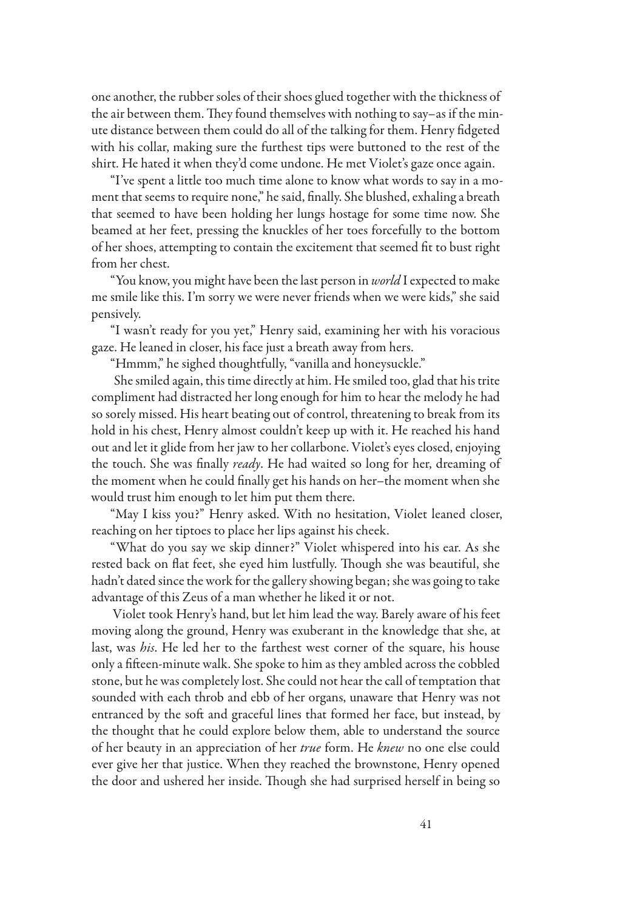one another, the rubber soles of their shoes glued together with the thickness of the air between them. They found themselves with nothing to say–as if the minute distance between them could do all of the talking for them. Henry fidgeted with his collar, making sure the furthest tips were buttoned to the rest of the shirt. He hated it when they'd come undone. He met Violet's gaze once again.

"I've spent a little too much time alone to know what words to say in a moment that seems to require none," he said, finally. She blushed, exhaling a breath that seemed to have been holding her lungs hostage for some time now. She beamed at her feet, pressing the knuckles of her toes forcefully to the bottom of her shoes, attempting to contain the excitement that seemed fit to bust right from her chest.

"You know, you might have been the last person in *world* I expected to make me smile like this. I'm sorry we were never friends when we were kids," she said pensively.

"I wasn't ready for you yet," Henry said, examining her with his voracious gaze. He leaned in closer, his face just a breath away from hers.

"Hmmm," he sighed thoughtfully, "vanilla and honeysuckle."

She smiled again, this time directly at him. He smiled too, glad that his trite compliment had distracted her long enough for him to hear the melody he had so sorely missed. His heart beating out of control, threatening to break from its hold in his chest, Henry almost couldn't keep up with it. He reached his hand out and let it glide from her jaw to her collarbone. Violet's eyes closed, enjoying the touch. She was finally *ready*. He had waited so long for her, dreaming of the moment when he could finally get his hands on her–the moment when she would trust him enough to let him put them there.

"May I kiss you?" Henry asked. With no hesitation, Violet leaned closer, reaching on her tiptoes to place her lips against his cheek.

"What do you say we skip dinner?" Violet whispered into his ear. As she rested back on flat feet, she eyed him lustfully. Though she was beautiful, she hadn't dated since the work for the gallery showing began; she was going to take advantage of this Zeus of a man whether he liked it or not.

Violet took Henry's hand, but let him lead the way. Barely aware of his feet moving along the ground, Henry was exuberant in the knowledge that she, at last, was *his*. He led her to the farthest west corner of the square, his house only a fifteen-minute walk. She spoke to him as they ambled across the cobbled stone, but he was completely lost. She could not hear the call of temptation that sounded with each throb and ebb of her organs, unaware that Henry was not entranced by the soft and graceful lines that formed her face, but instead, by the thought that he could explore below them, able to understand the source of her beauty in an appreciation of her *true* form. He *knew* no one else could ever give her that justice. When they reached the brownstone, Henry opened the door and ushered her inside. Though she had surprised herself in being so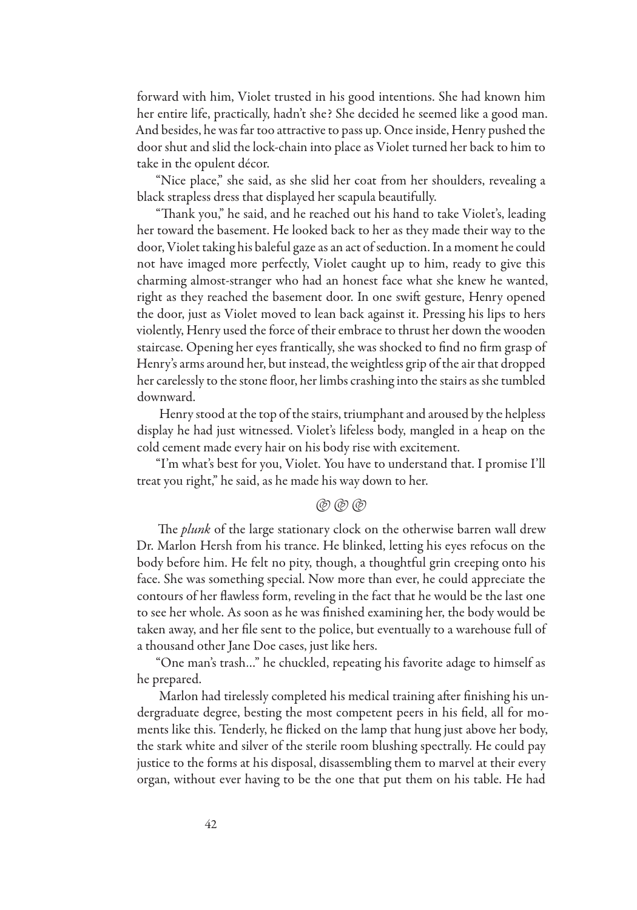forward with him, Violet trusted in his good intentions. She had known him her entire life, practically, hadn't she? She decided he seemed like a good man. And besides, he was far too attractive to pass up. Once inside, Henry pushed the door shut and slid the lock-chain into place as Violet turned her back to him to take in the opulent décor.

"Nice place," she said, as she slid her coat from her shoulders, revealing a black strapless dress that displayed her scapula beautifully.

"Thank you," he said, and he reached out his hand to take Violet's, leading her toward the basement. He looked back to her as they made their way to the door, Violet taking his baleful gaze as an act of seduction. In a moment he could not have imaged more perfectly, Violet caught up to him, ready to give this charming almost-stranger who had an honest face what she knew he wanted, right as they reached the basement door. In one swift gesture, Henry opened the door, just as Violet moved to lean back against it. Pressing his lips to hers violently, Henry used the force of their embrace to thrust her down the wooden staircase. Opening her eyes frantically, she was shocked to find no firm grasp of Henry's arms around her, but instead, the weightless grip of the air that dropped her carelessly to the stone floor, her limbs crashing into the stairs as she tumbled downward.

Henry stood at the top of the stairs, triumphant and aroused by the helpless display he had just witnessed. Violet's lifeless body, mangled in a heap on the cold cement made every hair on his body rise with excitement.

"I'm what's best for you, Violet. You have to understand that. I promise I'll treat you right," he said, as he made his way down to her.

### $($ @ (@)

The *plunk* of the large stationary clock on the otherwise barren wall drew Dr. Marlon Hersh from his trance. He blinked, letting his eyes refocus on the body before him. He felt no pity, though, a thoughtful grin creeping onto his face. She was something special. Now more than ever, he could appreciate the contours of her flawless form, reveling in the fact that he would be the last one to see her whole. As soon as he was finished examining her, the body would be taken away, and her file sent to the police, but eventually to a warehouse full of a thousand other Jane Doe cases, just like hers.

"One man's trash…" he chuckled, repeating his favorite adage to himself as he prepared.

Marlon had tirelessly completed his medical training after finishing his undergraduate degree, besting the most competent peers in his field, all for moments like this. Tenderly, he flicked on the lamp that hung just above her body, the stark white and silver of the sterile room blushing spectrally. He could pay justice to the forms at his disposal, disassembling them to marvel at their every organ, without ever having to be the one that put them on his table. He had